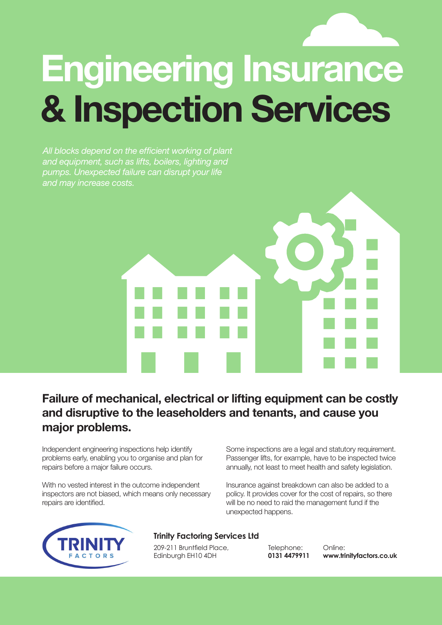# **Engineering Insurance & Inspection Services**

*All blocks depend on the efficient working of plant and equipment, such as lifts, boilers, lighting and pumps. Unexpected failure can disrupt your life and may increase costs.* 

# **Failure of mechanical, electrical or lifting equipment can be costly and disruptive to the leaseholders and tenants, and cause you major problems.**

Independent engineering inspections help identify problems early, enabling you to organise and plan for repairs before a major failure occurs.

With no vested interest in the outcome independent inspectors are not biased, which means only necessary repairs are identified.

Some inspections are a legal and statutory requirement. Passenger lifts, for example, have to be inspected twice annually, not least to meet health and safety legislation.

Insurance against breakdown can also be added to a policy. It provides cover for the cost of repairs, so there will be no need to raid the management fund if the unexpected happens.



# **Trinity Factoring Services Ltd**

209-211 Bruntfield Place, Edinburgh EH10 4DH

Telephone: **0131 4479911**

Online: **www.trinityfactors.co.uk**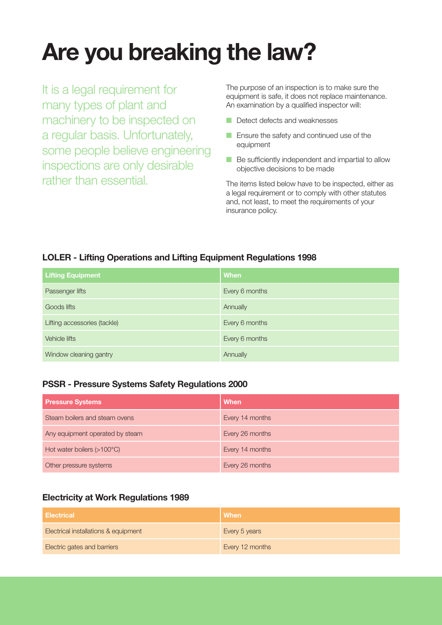# **Are you breaking the law?**

It is a legal requirement for many types of plant and machinery to be inspected on a regular basis. Unfortunately, some people believe engineering inspections are only desirable rather than essential.

The purpose of an inspection is to make sure the equipment is safe, it does not replace maintenance. An examination by a qualified inspector will:

- Detect defects and weaknesses
- Ensure the safety and continued use of the equipment
- Be sufficiently independent and impartial to allow objective decisions to be made

The items listed below have to be inspected, either as a legal requirement or to comply with other statutes and, not least, to meet the requirements of your insurance policy.

# **LOLER - Lifting Operations and Lifting Equipment Regulations 1998**

| <b>Lifting Equipment</b>     | <b>When</b>    |
|------------------------------|----------------|
| Passenger lifts              | Every 6 months |
| Goods lifts                  | Annually       |
| Lifting accessories (tackle) | Every 6 months |
| Vehicle lifts                | Every 6 months |
| Window cleaning gantry       | Annually       |

# **PSSR - Pressure Systems Safety Regulations 2000**

| <b>Pressure Systems</b>             | <b>When</b>     |
|-------------------------------------|-----------------|
| Steam boilers and steam ovens       | Every 14 months |
| Any equipment operated by steam     | Every 26 months |
| Hot water boilers $(>100^{\circ}C)$ | Every 14 months |
| Other pressure systems              | Every 26 months |

# **Electricity at Work Regulations 1989**

| <b>Electrical</b>                    | <b>When</b>     |
|--------------------------------------|-----------------|
| Electrical installations & equipment | Every 5 years   |
| <b>Electric gates and barriers</b>   | Every 12 months |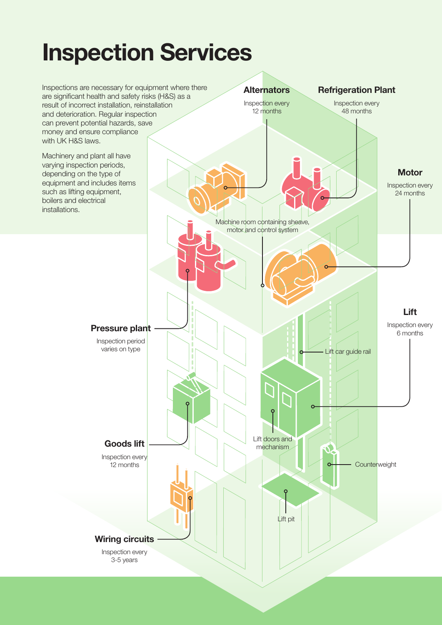# **Inspection Services**

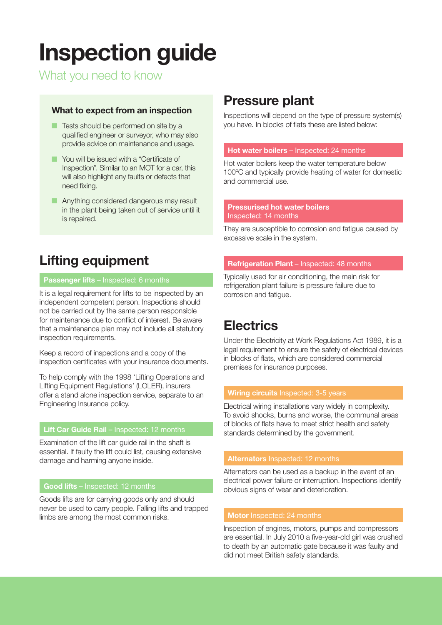# **Inspection guide**

What you need to know

# **What to expect from an inspection**

- Tests should be performed on site by a qualified engineer or surveyor, who may also provide advice on maintenance and usage.
- You will be issued with a "Certificate of Inspection". Similar to an MOT for a car, this will also highlight any faults or defects that need fixing.
- Anything considered dangerous may result in the plant being taken out of service until it is repaired.

# **Lifting equipment**

# **Passenger lifts** – Inspected: 6 months

It is a legal requirement for lifts to be inspected by an independent competent person. Inspections should not be carried out by the same person responsible for maintenance due to conflict of interest. Be aware that a maintenance plan may not include all statutory inspection requirements.

Keep a record of inspections and a copy of the inspection certificates with your insurance documents.

To help comply with the 1998 'Lifting Operations and Lifting Equipment Regulations' (LOLER), insurers offer a stand alone inspection service, separate to an Engineering Insurance policy.

## **Lift Car Guide Rail - Inspected: 12 months**

Examination of the lift car guide rail in the shaft is essential. If faulty the lift could list, causing extensive damage and harming anyone inside.

# **Good lifts** – Inspected: 12 months

Goods lifts are for carrying goods only and should never be used to carry people. Falling lifts and trapped limbs are among the most common risks.

# **Pressure plant**

Inspections will depend on the type of pressure system(s) you have. In blocks of flats these are listed below:

## **Hot water boilers** – Inspected: 24 months

Hot water boilers keep the water temperature below 100ºC and typically provide heating of water for domestic and commercial use.

### **Pressurised hot water boilers**  Inspected: 14 months

They are susceptible to corrosion and fatigue caused by excessive scale in the system.

## **Refrigeration Plant** – Inspected: 48 months

Typically used for air conditioning, the main risk for refrigeration plant failure is pressure failure due to corrosion and fatigue.

# **Electrics**

Under the Electricity at Work Regulations Act 1989, it is a legal requirement to ensure the safety of electrical devices in blocks of flats, which are considered commercial premises for insurance purposes.

## **Wiring circuits** Inspected: 3-5 years

Electrical wiring installations vary widely in complexity. To avoid shocks, burns and worse, the communal areas of blocks of flats have to meet strict health and safety standards determined by the government.

Alternators can be used as a backup in the event of an electrical power failure or interruption. Inspections identify obvious signs of wear and deterioration.

Inspection of engines, motors, pumps and compressors are essential. In July 2010 a five-year-old girl was crushed to death by an automatic gate because it was faulty and did not meet British safety standards.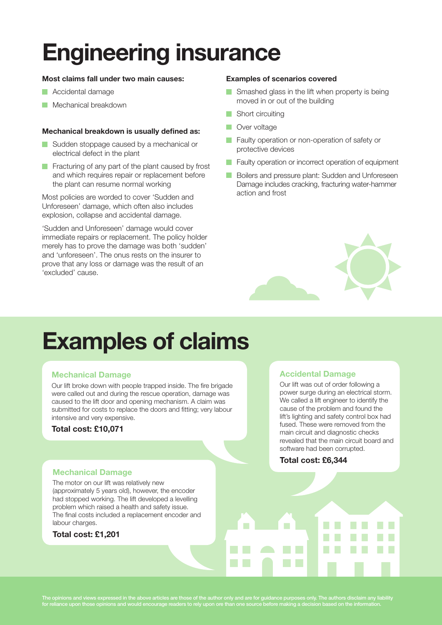# **Engineering insurance**

## **Most claims fall under two main causes:**

- **Accidental damage**
- **Mechanical breakdown**

### **Mechanical breakdown is usually defined as:**

- Sudden stoppage caused by a mechanical or electrical defect in the plant
- Fracturing of any part of the plant caused by frost and which requires repair or replacement before the plant can resume normal working

Most policies are worded to cover 'Sudden and Unforeseen' damage, which often also includes explosion, collapse and accidental damage.

'Sudden and Unforeseen' damage would cover immediate repairs or replacement. The policy holder merely has to prove the damage was both 'sudden' and 'unforeseen'. The onus rests on the insurer to prove that any loss or damage was the result of an 'excluded' cause.

### **Examples of scenarios covered**

- Smashed glass in the lift when property is being moved in or out of the building
- Short circuiting
- **Nover voltage**
- **Faulty operation or non-operation of safety or** protective devices
- **Faulty operation or incorrect operation of equipment**
- **Boilers and pressure plant: Sudden and Unforeseen** Damage includes cracking, fracturing water-hammer action and frost

# **Examples of claims**

# **Mechanical Damage**

Our lift broke down with people trapped inside. The fire brigade were called out and during the rescue operation, damage was caused to the lift door and opening mechanism. A claim was submitted for costs to replace the doors and fitting; very labour intensive and very expensive.

## **Total cost: £10,071**

## **Mechanical Damage**

The motor on our lift was relatively new (approximately 5 years old), however, the encoder had stopped working. The lift developed a levelling problem which raised a health and safety issue. The final costs included a replacement encoder and labour charges.

## **Total cost: £1,201**

# **Accidental Damage**

Our lift was out of order following a power surge during an electrical storm. We called a lift engineer to identify the cause of the problem and found the lift's lighting and safety control box had fused. These were removed from the main circuit and diagnostic checks revealed that the main circuit board and software had been corrupted.

## **Total cost: £6,344**